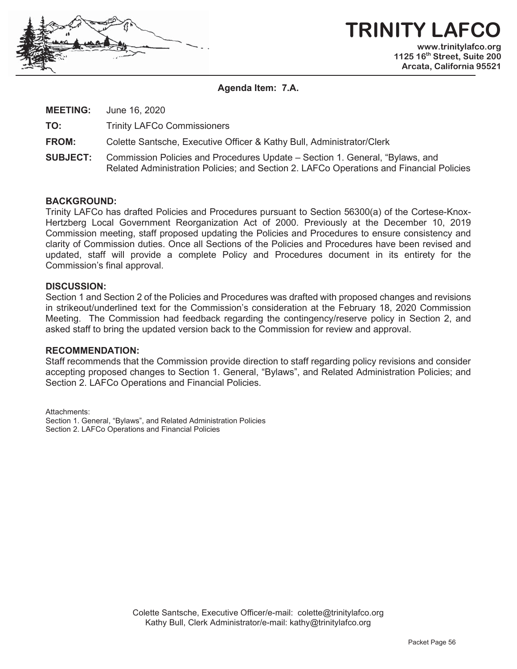

#### **TRINITY LAFC www.trinitylafco.org 1125 16th Street, Suite 200 Arcata, California 95521**

**Agenda Item: 7.A.** 

**MEETING:** June 16, 2020

**TO:** Trinity LAFCo Commissioners

**FROM:** Colette Santsche, Executive Officer & Kathy Bull, Administrator/Clerk

**SUBJECT:** Commission Policies and Procedures Update – Section 1. General, "Bylaws, and Related Administration Policies; and Section 2. LAFCo Operations and Financial Policies

#### **BACKGROUND:**

Trinity LAFCo has drafted Policies and Procedures pursuant to Section 56300(a) of the Cortese-Knox-Hertzberg Local Government Reorganization Act of 2000. Previously at the December 10, 2019 Commission meeting, staff proposed updating the Policies and Procedures to ensure consistency and clarity of Commission duties. Once all Sections of the Policies and Procedures have been revised and updated, staff will provide a complete Policy and Procedures document in its entirety for the Commission's final approval.

#### **DISCUSSION:**

Section 1 and Section 2 of the Policies and Procedures was drafted with proposed changes and revisions in strikeout/underlined text for the Commission's consideration at the February 18, 2020 Commission Meeting. The Commission had feedback regarding the contingency/reserve policy in Section 2, and asked staff to bring the updated version back to the Commission for review and approval.

#### **RECOMMENDATION:**

Staff recommends that the Commission provide direction to staff regarding policy revisions and consider accepting proposed changes to Section 1. General, "Bylaws", and Related Administration Policies; and Section 2. LAFCo Operations and Financial Policies.

Attachments: Section 1. General, "Bylaws", and Related Administration Policies Section 2. LAFCo Operations and Financial Policies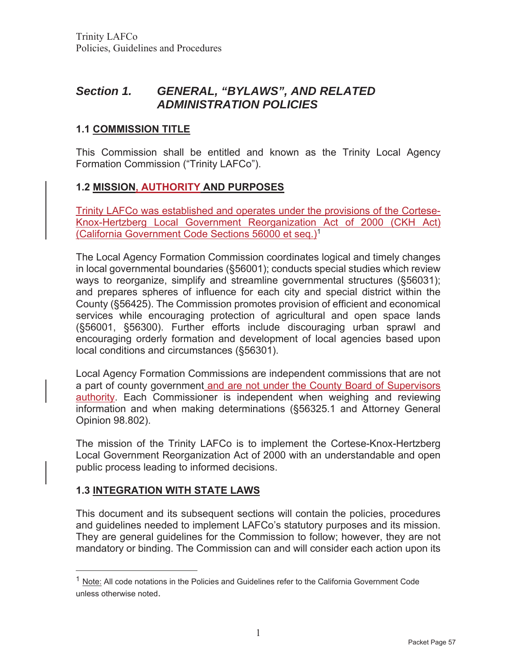# *Section 1. GENERAL, "BYLAWS", AND RELATED ADMINISTRATION POLICIES*

# **1.1 COMMISSION TITLE**

This Commission shall be entitled and known as the Trinity Local Agency Formation Commission ("Trinity LAFCo").

# **1.2 MISSION, AUTHORITY AND PURPOSES**

Trinity LAFCo was established and operates under the provisions of the Cortese-Knox-Hertzberg Local Government Reorganization Act of 2000 (CKH Act) (California Government Code Sections 56000 et seq.)1

The Local Agency Formation Commission coordinates logical and timely changes in local governmental boundaries (§56001); conducts special studies which review ways to reorganize, simplify and streamline governmental structures (§56031); and prepares spheres of influence for each city and special district within the County (§56425). The Commission promotes provision of efficient and economical services while encouraging protection of agricultural and open space lands (§56001, §56300). Further efforts include discouraging urban sprawl and encouraging orderly formation and development of local agencies based upon local conditions and circumstances (§56301).

Local Agency Formation Commissions are independent commissions that are not a part of county government and are not under the County Board of Supervisors authority. Each Commissioner is independent when weighing and reviewing information and when making determinations (§56325.1 and Attorney General Opinion 98.802).

The mission of the Trinity LAFCo is to implement the Cortese-Knox-Hertzberg Local Government Reorganization Act of 2000 with an understandable and open public process leading to informed decisions.

## **1.3 INTEGRATION WITH STATE LAWS**

This document and its subsequent sections will contain the policies, procedures and guidelines needed to implement LAFCo's statutory purposes and its mission. They are general guidelines for the Commission to follow; however, they are not mandatory or binding. The Commission can and will consider each action upon its

 $<sup>1</sup>$  Note: All code notations in the Policies and Guidelines refer to the California Government Code</sup> unless otherwise noted.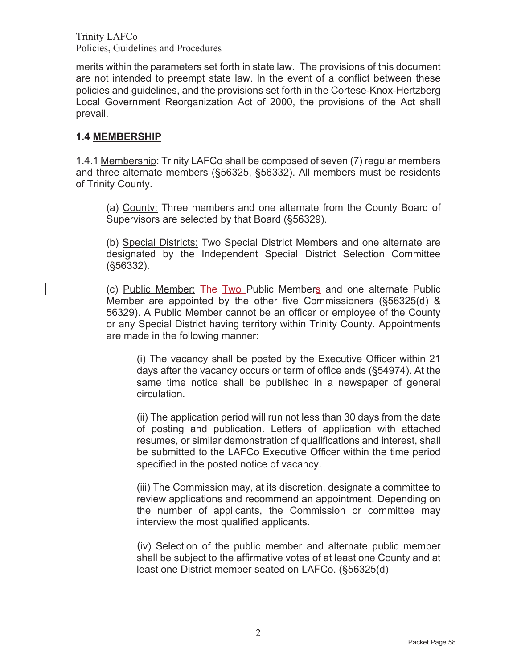merits within the parameters set forth in state law. The provisions of this document are not intended to preempt state law. In the event of a conflict between these policies and guidelines, and the provisions set forth in the Cortese-Knox-Hertzberg Local Government Reorganization Act of 2000, the provisions of the Act shall prevail.

#### **1.4 MEMBERSHIP**

1.4.1 Membership: Trinity LAFCo shall be composed of seven (7) regular members and three alternate members (§56325, §56332). All members must be residents of Trinity County.

(a) County: Three members and one alternate from the County Board of Supervisors are selected by that Board (§56329).

(b) Special Districts: Two Special District Members and one alternate are designated by the Independent Special District Selection Committee (§56332).

(c) Public Member: The Two Public Members and one alternate Public Member are appointed by the other five Commissioners (§56325(d) & 56329). A Public Member cannot be an officer or employee of the County or any Special District having territory within Trinity County. Appointments are made in the following manner:

(i) The vacancy shall be posted by the Executive Officer within 21 days after the vacancy occurs or term of office ends (§54974). At the same time notice shall be published in a newspaper of general circulation.

(ii) The application period will run not less than 30 days from the date of posting and publication. Letters of application with attached resumes, or similar demonstration of qualifications and interest, shall be submitted to the LAFCo Executive Officer within the time period specified in the posted notice of vacancy.

(iii) The Commission may, at its discretion, designate a committee to review applications and recommend an appointment. Depending on the number of applicants, the Commission or committee may interview the most qualified applicants.

(iv) Selection of the public member and alternate public member shall be subject to the affirmative votes of at least one County and at least one District member seated on LAFCo. (§56325(d)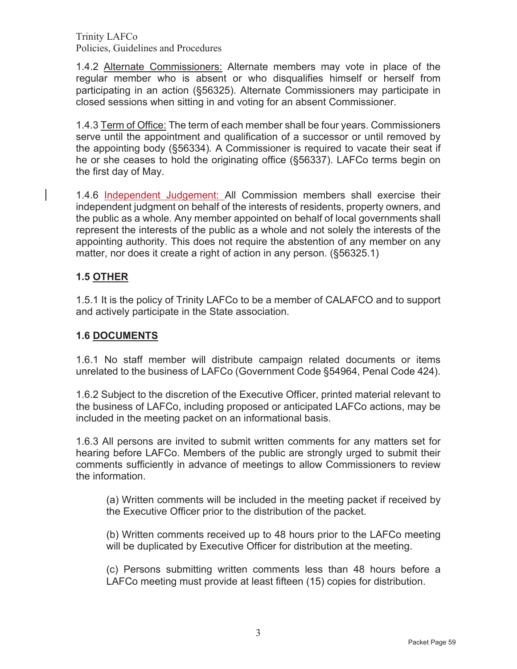1.4.2 Alternate Commissioners: Alternate members may vote in place of the regular member who is absent or who disqualifies himself or herself from participating in an action (§56325). Alternate Commissioners may participate in closed sessions when sitting in and voting for an absent Commissioner.

1.4.3 Term of Office: The term of each member shall be four years. Commissioners serve until the appointment and qualification of a successor or until removed by the appointing body (§56334)*.* A Commissioner is required to vacate their seat if he or she ceases to hold the originating office (§56337). LAFCo terms begin on the first day of May.

1.4.6 Independent Judgement: All Commission members shall exercise their independent judgment on behalf of the interests of residents, property owners, and the public as a whole. Any member appointed on behalf of local governments shall represent the interests of the public as a whole and not solely the interests of the appointing authority. This does not require the abstention of any member on any matter, nor does it create a right of action in any person. (§56325.1)

## **1.5 OTHER**

1.5.1 It is the policy of Trinity LAFCo to be a member of CALAFCO and to support and actively participate in the State association.

## **1.6 DOCUMENTS**

1.6.1 No staff member will distribute campaign related documents or items unrelated to the business of LAFCo (Government Code §54964, Penal Code 424).

1.6.2 Subject to the discretion of the Executive Officer, printed material relevant to the business of LAFCo, including proposed or anticipated LAFCo actions, may be included in the meeting packet on an informational basis.

1.6.3 All persons are invited to submit written comments for any matters set for hearing before LAFCo. Members of the public are strongly urged to submit their comments sufficiently in advance of meetings to allow Commissioners to review the information.

(a) Written comments will be included in the meeting packet if received by the Executive Officer prior to the distribution of the packet.

(b) Written comments received up to 48 hours prior to the LAFCo meeting will be duplicated by Executive Officer for distribution at the meeting.

(c) Persons submitting written comments less than 48 hours before a LAFCo meeting must provide at least fifteen (15) copies for distribution.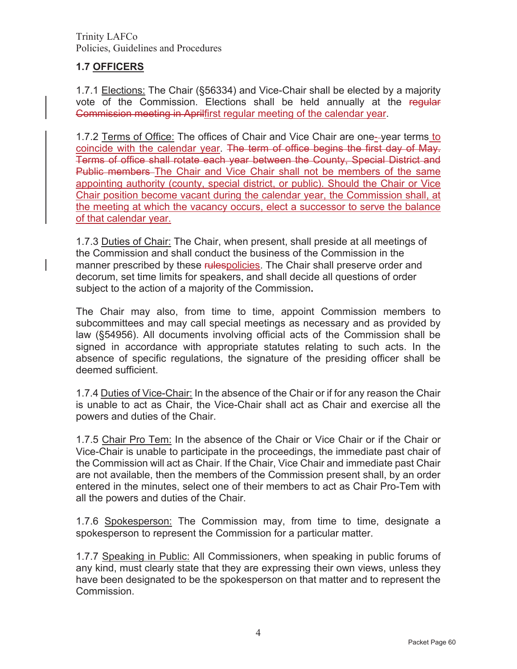# **1.7 OFFICERS**

1.7.1 Elections: The Chair (§56334) and Vice-Chair shall be elected by a majority vote of the Commission. Elections shall be held annually at the regular Commission meeting in Aprilfirst regular meeting of the calendar year.

1.7.2 Terms of Office: The offices of Chair and Vice Chair are one- year terms to coincide with the calendar year. The term of office begins the first day of May. Terms of office shall rotate each year between the County, Special District and Public members The Chair and Vice Chair shall not be members of the same appointing authority (county, special district, or public). Should the Chair or Vice Chair position become vacant during the calendar year, the Commission shall, at the meeting at which the vacancy occurs, elect a successor to serve the balance of that calendar year.

1.7.3 Duties of Chair: The Chair, when present, shall preside at all meetings of the Commission and shall conduct the business of the Commission in the manner prescribed by these rulespolicies. The Chair shall preserve order and decorum, set time limits for speakers, and shall decide all questions of order subject to the action of a majority of the Commission**.** 

The Chair may also, from time to time, appoint Commission members to subcommittees and may call special meetings as necessary and as provided by law (§54956). All documents involving official acts of the Commission shall be signed in accordance with appropriate statutes relating to such acts. In the absence of specific regulations, the signature of the presiding officer shall be deemed sufficient.

1.7.4 Duties of Vice-Chair: In the absence of the Chair or if for any reason the Chair is unable to act as Chair, the Vice-Chair shall act as Chair and exercise all the powers and duties of the Chair.

1.7.5 Chair Pro Tem: In the absence of the Chair or Vice Chair or if the Chair or Vice-Chair is unable to participate in the proceedings, the immediate past chair of the Commission will act as Chair. If the Chair, Vice Chair and immediate past Chair are not available, then the members of the Commission present shall, by an order entered in the minutes, select one of their members to act as Chair Pro-Tem with all the powers and duties of the Chair.

1.7.6 Spokesperson: The Commission may, from time to time, designate a spokesperson to represent the Commission for a particular matter.

1.7.7 Speaking in Public: All Commissioners, when speaking in public forums of any kind, must clearly state that they are expressing their own views, unless they have been designated to be the spokesperson on that matter and to represent the Commission.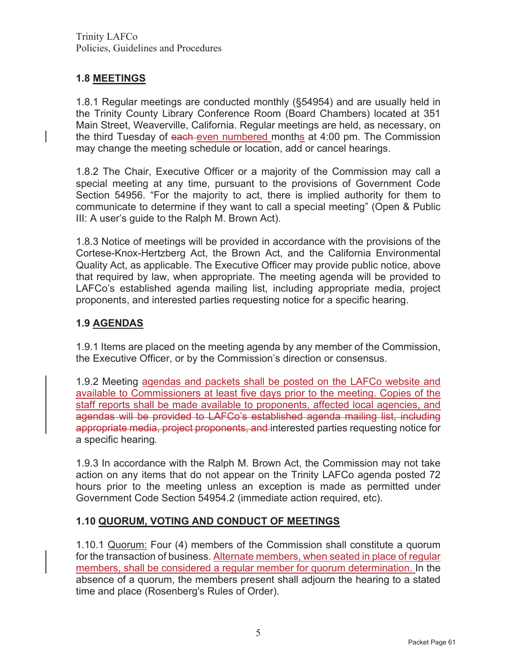# **1.8 MEETINGS**

1.8.1 Regular meetings are conducted monthly (§54954) and are usually held in the Trinity County Library Conference Room (Board Chambers) located at 351 Main Street, Weaverville, California. Regular meetings are held, as necessary, on the third Tuesday of each even numbered months at 4:00 pm. The Commission may change the meeting schedule or location, add or cancel hearings.

1.8.2 The Chair, Executive Officer or a majority of the Commission may call a special meeting at any time, pursuant to the provisions of Government Code Section 54956. "For the majority to act, there is implied authority for them to communicate to determine if they want to call a special meeting" (Open & Public III: A user's guide to the Ralph M. Brown Act).

1.8.3 Notice of meetings will be provided in accordance with the provisions of the Cortese-Knox-Hertzberg Act, the Brown Act, and the California Environmental Quality Act, as applicable. The Executive Officer may provide public notice, above that required by law, when appropriate. The meeting agenda will be provided to LAFCo's established agenda mailing list, including appropriate media, project proponents, and interested parties requesting notice for a specific hearing.

# **1.9 AGENDAS**

1.9.1 Items are placed on the meeting agenda by any member of the Commission, the Executive Officer, or by the Commission's direction or consensus.

1.9.2 Meeting agendas and packets shall be posted on the LAFCo website and available to Commissioners at least five days prior to the meeting. Copies of the staff reports shall be made available to proponents, affected local agencies, and agendas will be provided to LAFCo's established agenda mailing list, including appropriate media, project proponents, and interested parties requesting notice for a specific hearing*.* 

1.9.3 In accordance with the Ralph M. Brown Act, the Commission may not take action on any items that do not appear on the Trinity LAFCo agenda posted 72 hours prior to the meeting unless an exception is made as permitted under Government Code Section 54954.2 (immediate action required, etc).

# **1.10 QUORUM, VOTING AND CONDUCT OF MEETINGS**

1.10.1 Quorum: Four (4) members of the Commission shall constitute a quorum for the transaction of business. Alternate members, when seated in place of regular members, shall be considered a regular member for quorum determination. In the absence of a quorum, the members present shall adjourn the hearing to a stated time and place (Rosenberg's Rules of Order).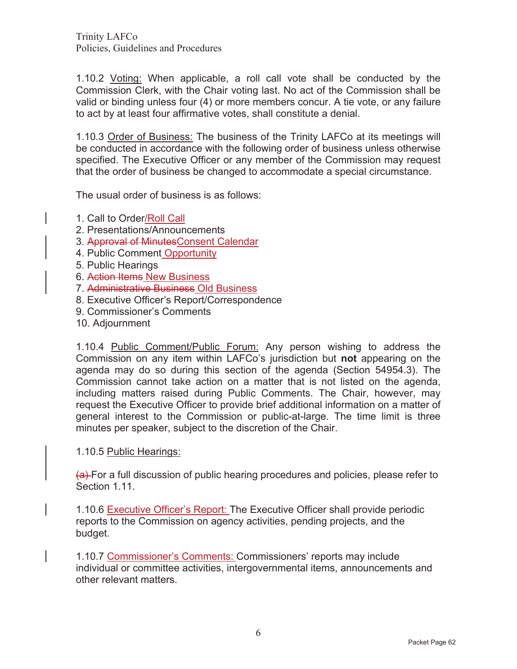1.10.2 Voting: When applicable, a roll call vote shall be conducted by the Commission Clerk, with the Chair voting last. No act of the Commission shall be valid or binding unless four (4) or more members concur. A tie vote, or any failure to act by at least four affirmative votes, shall constitute a denial.

1.10.3 Order of Business: The business of the Trinity LAFCo at its meetings will be conducted in accordance with the following order of business unless otherwise specified. The Executive Officer or any member of the Commission may request that the order of business be changed to accommodate a special circumstance.

The usual order of business is as follows:

- 1. Call to Order/Roll Call
- 2. Presentations/Announcements
- 3. Approval of MinutesConsent Calendar
- 4. Public Comment Opportunity
- 5. Public Hearings
- 6. Action Items New Business
- 7. Administrative Business Old Business
- 8. Executive Officer's Report/Correspondence
- 9. Commissioner's Comments
- 10. Adjournment

1.10.4 Public Comment/Public Forum: Any person wishing to address the Commission on any item within LAFCo's jurisdiction but **not** appearing on the agenda may do so during this section of the agenda (Section 54954.3). The Commission cannot take action on a matter that is not listed on the agenda, including matters raised during Public Comments. The Chair, however, may request the Executive Officer to provide brief additional information on a matter of general interest to the Commission or public-at-large. The time limit is three minutes per speaker, subject to the discretion of the Chair.

1.10.5 Public Hearings:

(a) For a full discussion of public hearing procedures and policies, please refer to Section 1.11.

1.10.6 Executive Officer's Report: The Executive Officer shall provide periodic reports to the Commission on agency activities, pending projects, and the budget.

1.10.7 Commissioner's Comments: Commissioners' reports may include individual or committee activities, intergovernmental items, announcements and other relevant matters.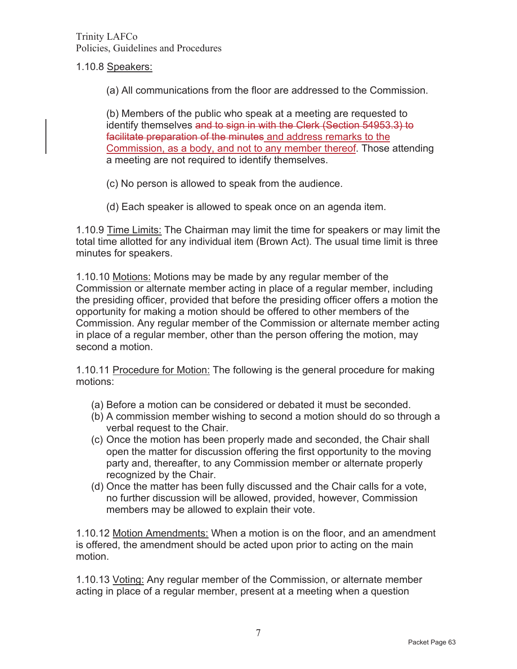1.10.8 Speakers:

(a) All communications from the floor are addressed to the Commission.

(b) Members of the public who speak at a meeting are requested to identify themselves and to sign in with the Clerk (Section 54953.3) to facilitate preparation of the minutes and address remarks to the Commission, as a body, and not to any member thereof. Those attending a meeting are not required to identify themselves.

- (c) No person is allowed to speak from the audience.
- (d) Each speaker is allowed to speak once on an agenda item.

1.10.9 Time Limits: The Chairman may limit the time for speakers or may limit the total time allotted for any individual item (Brown Act). The usual time limit is three minutes for speakers.

1.10.10 Motions: Motions may be made by any regular member of the Commission or alternate member acting in place of a regular member, including the presiding officer, provided that before the presiding officer offers a motion the opportunity for making a motion should be offered to other members of the Commission. Any regular member of the Commission or alternate member acting in place of a regular member, other than the person offering the motion, may second a motion.

1.10.11 Procedure for Motion: The following is the general procedure for making motions:

- (a) Before a motion can be considered or debated it must be seconded.
- (b) A commission member wishing to second a motion should do so through a verbal request to the Chair.
- (c) Once the motion has been properly made and seconded, the Chair shall open the matter for discussion offering the first opportunity to the moving party and, thereafter, to any Commission member or alternate properly recognized by the Chair.
- (d) Once the matter has been fully discussed and the Chair calls for a vote, no further discussion will be allowed, provided, however, Commission members may be allowed to explain their vote.

1.10.12 Motion Amendments: When a motion is on the floor, and an amendment is offered, the amendment should be acted upon prior to acting on the main motion.

1.10.13 Voting: Any regular member of the Commission, or alternate member acting in place of a regular member, present at a meeting when a question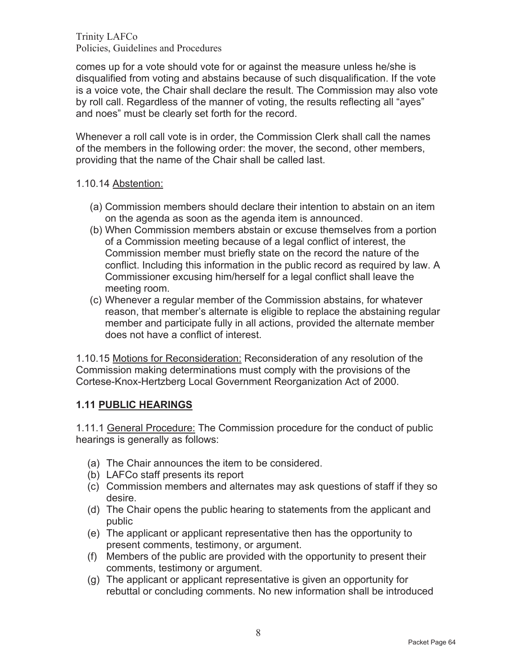comes up for a vote should vote for or against the measure unless he/she is disqualified from voting and abstains because of such disqualification. If the vote is a voice vote, the Chair shall declare the result. The Commission may also vote by roll call. Regardless of the manner of voting, the results reflecting all "ayes" and noes" must be clearly set forth for the record.

Whenever a roll call vote is in order, the Commission Clerk shall call the names of the members in the following order: the mover, the second, other members, providing that the name of the Chair shall be called last.

## 1.10.14 Abstention:

- (a) Commission members should declare their intention to abstain on an item on the agenda as soon as the agenda item is announced.
- (b) When Commission members abstain or excuse themselves from a portion of a Commission meeting because of a legal conflict of interest, the Commission member must briefly state on the record the nature of the conflict. Including this information in the public record as required by law. A Commissioner excusing him/herself for a legal conflict shall leave the meeting room.
- (c) Whenever a regular member of the Commission abstains, for whatever reason, that member's alternate is eligible to replace the abstaining regular member and participate fully in all actions, provided the alternate member does not have a conflict of interest.

1.10.15 Motions for Reconsideration: Reconsideration of any resolution of the Commission making determinations must comply with the provisions of the Cortese-Knox-Hertzberg Local Government Reorganization Act of 2000.

## **1.11 PUBLIC HEARINGS**

1.11.1 General Procedure: The Commission procedure for the conduct of public hearings is generally as follows:

- (a) The Chair announces the item to be considered.
- (b) LAFCo staff presents its report
- (c) Commission members and alternates may ask questions of staff if they so desire.
- (d) The Chair opens the public hearing to statements from the applicant and public
- (e) The applicant or applicant representative then has the opportunity to present comments, testimony, or argument.
- (f) Members of the public are provided with the opportunity to present their comments, testimony or argument.
- (g) The applicant or applicant representative is given an opportunity for rebuttal or concluding comments. No new information shall be introduced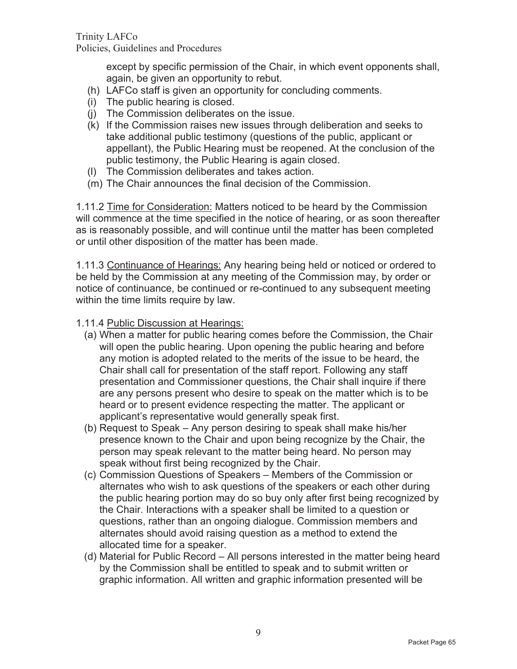except by specific permission of the Chair, in which event opponents shall, again, be given an opportunity to rebut.

- (h) LAFCo staff is given an opportunity for concluding comments.
- (i) The public hearing is closed.
- (j) The Commission deliberates on the issue.
- (k) If the Commission raises new issues through deliberation and seeks to take additional public testimony (questions of the public, applicant or appellant), the Public Hearing must be reopened. At the conclusion of the public testimony, the Public Hearing is again closed.
- (l) The Commission deliberates and takes action.
- (m) The Chair announces the final decision of the Commission.

1.11.2 Time for Consideration: Matters noticed to be heard by the Commission will commence at the time specified in the notice of hearing, or as soon thereafter as is reasonably possible, and will continue until the matter has been completed or until other disposition of the matter has been made.

1.11.3 Continuance of Hearings: Any hearing being held or noticed or ordered to be held by the Commission at any meeting of the Commission may, by order or notice of continuance, be continued or re-continued to any subsequent meeting within the time limits require by law.

1.11.4 Public Discussion at Hearings:

- (a) When a matter for public hearing comes before the Commission, the Chair will open the public hearing. Upon opening the public hearing and before any motion is adopted related to the merits of the issue to be heard, the Chair shall call for presentation of the staff report. Following any staff presentation and Commissioner questions, the Chair shall inquire if there are any persons present who desire to speak on the matter which is to be heard or to present evidence respecting the matter. The applicant or applicant's representative would generally speak first.
- (b) Request to Speak Any person desiring to speak shall make his/her presence known to the Chair and upon being recognize by the Chair, the person may speak relevant to the matter being heard. No person may speak without first being recognized by the Chair.
- (c) Commission Questions of Speakers Members of the Commission or alternates who wish to ask questions of the speakers or each other during the public hearing portion may do so buy only after first being recognized by the Chair. Interactions with a speaker shall be limited to a question or questions, rather than an ongoing dialogue. Commission members and alternates should avoid raising question as a method to extend the allocated time for a speaker.
- (d) Material for Public Record All persons interested in the matter being heard by the Commission shall be entitled to speak and to submit written or graphic information. All written and graphic information presented will be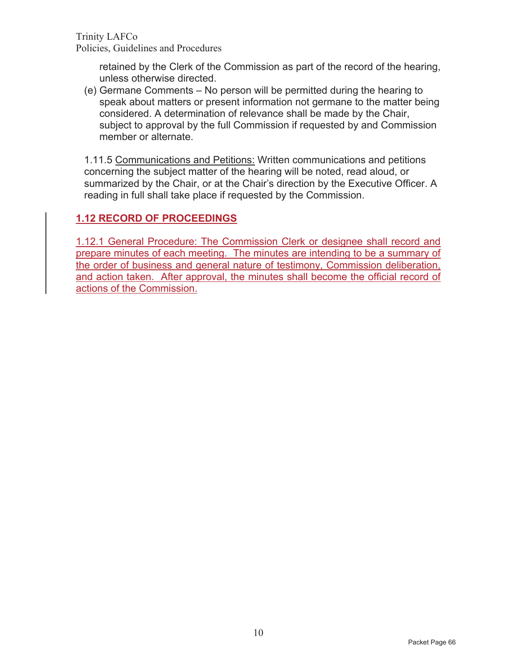retained by the Clerk of the Commission as part of the record of the hearing, unless otherwise directed.

(e) Germane Comments – No person will be permitted during the hearing to speak about matters or present information not germane to the matter being considered. A determination of relevance shall be made by the Chair, subject to approval by the full Commission if requested by and Commission member or alternate.

1.11.5 Communications and Petitions: Written communications and petitions concerning the subject matter of the hearing will be noted, read aloud, or summarized by the Chair, or at the Chair's direction by the Executive Officer. A reading in full shall take place if requested by the Commission.

# **1.12 RECORD OF PROCEEDINGS**

1.12.1 General Procedure: The Commission Clerk or designee shall record and prepare minutes of each meeting. The minutes are intending to be a summary of the order of business and general nature of testimony, Commission deliberation, and action taken. After approval, the minutes shall become the official record of actions of the Commission.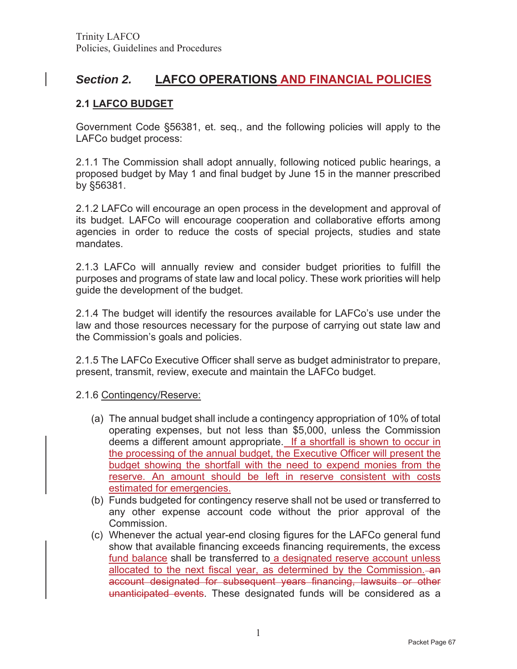# *Section 2.* **LAFCO OPERATIONS AND FINANCIAL POLICIES**

## **2.1 LAFCO BUDGET**

Government Code §56381, et. seq., and the following policies will apply to the LAFCo budget process:

2.1.1 The Commission shall adopt annually, following noticed public hearings, a proposed budget by May 1 and final budget by June 15 in the manner prescribed by §56381.

2.1.2 LAFCo will encourage an open process in the development and approval of its budget. LAFCo will encourage cooperation and collaborative efforts among agencies in order to reduce the costs of special projects, studies and state mandates.

2.1.3 LAFCo will annually review and consider budget priorities to fulfill the purposes and programs of state law and local policy. These work priorities will help guide the development of the budget.

2.1.4 The budget will identify the resources available for LAFCo's use under the law and those resources necessary for the purpose of carrying out state law and the Commission's goals and policies.

2.1.5 The LAFCo Executive Officer shall serve as budget administrator to prepare, present, transmit, review, execute and maintain the LAFCo budget.

2.1.6 Contingency/Reserve:

- (a) The annual budget shall include a contingency appropriation of 10% of total operating expenses, but not less than \$5,000, unless the Commission deems a different amount appropriate. If a shortfall is shown to occur in the processing of the annual budget, the Executive Officer will present the budget showing the shortfall with the need to expend monies from the reserve. An amount should be left in reserve consistent with costs estimated for emergencies.
- (b) Funds budgeted for contingency reserve shall not be used or transferred to any other expense account code without the prior approval of the Commission.
- (c) Whenever the actual year-end closing figures for the LAFCo general fund show that available financing exceeds financing requirements, the excess fund balance shall be transferred to a designated reserve account unless allocated to the next fiscal year, as determined by the Commission. an account designated for subsequent years financing, lawsuits or other unanticipated events. These designated funds will be considered as a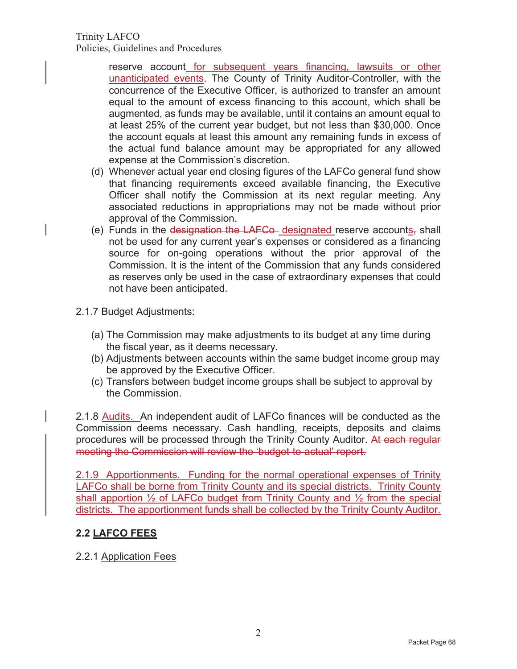Trinity LAFCO

Policies, Guidelines and Procedures

reserve account for subsequent years financing, lawsuits or other unanticipated events. The County of Trinity Auditor-Controller, with the concurrence of the Executive Officer, is authorized to transfer an amount equal to the amount of excess financing to this account, which shall be augmented, as funds may be available, until it contains an amount equal to at least 25% of the current year budget, but not less than \$30,000. Once the account equals at least this amount any remaining funds in excess of the actual fund balance amount may be appropriated for any allowed expense at the Commission's discretion.

- (d) Whenever actual year end closing figures of the LAFCo general fund show that financing requirements exceed available financing, the Executive Officer shall notify the Commission at its next regular meeting. Any associated reductions in appropriations may not be made without prior approval of the Commission.
- (e) Funds in the designation the LAFCo designated reserve accounts, shall not be used for any current year's expenses or considered as a financing source for on-going operations without the prior approval of the Commission. It is the intent of the Commission that any funds considered as reserves only be used in the case of extraordinary expenses that could not have been anticipated.
- 2.1.7 Budget Adjustments:
	- (a) The Commission may make adjustments to its budget at any time during the fiscal year, as it deems necessary.
	- (b) Adjustments between accounts within the same budget income group may be approved by the Executive Officer.
	- (c) Transfers between budget income groups shall be subject to approval by the Commission.

2.1.8 Audits. An independent audit of LAFCo finances will be conducted as the Commission deems necessary. Cash handling, receipts, deposits and claims procedures will be processed through the Trinity County Auditor. At each regular meeting the Commission will review the 'budget-to-actual' report.

2.1.9 Apportionments. Funding for the normal operational expenses of Trinity LAFCo shall be borne from Trinity County and its special districts. Trinity County shall apportion  $\frac{1}{2}$  of LAFCo budget from Trinity County and  $\frac{1}{2}$  from the special districts. The apportionment funds shall be collected by the Trinity County Auditor.

# **2.2 LAFCO FEES**

## 2.2.1 Application Fees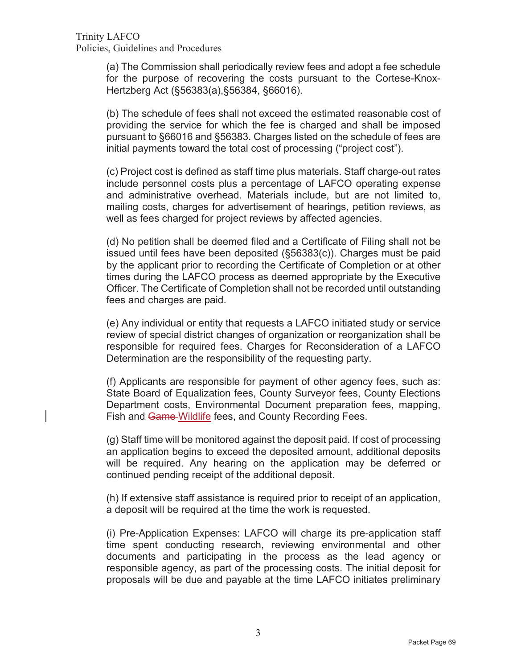(a) The Commission shall periodically review fees and adopt a fee schedule for the purpose of recovering the costs pursuant to the Cortese-Knox-Hertzberg Act (§56383(a),§56384, §66016).

(b) The schedule of fees shall not exceed the estimated reasonable cost of providing the service for which the fee is charged and shall be imposed pursuant to §66016 and §56383. Charges listed on the schedule of fees are initial payments toward the total cost of processing ("project cost").

(c) Project cost is defined as staff time plus materials. Staff charge-out rates include personnel costs plus a percentage of LAFCO operating expense and administrative overhead. Materials include, but are not limited to, mailing costs, charges for advertisement of hearings, petition reviews, as well as fees charged for project reviews by affected agencies.

(d) No petition shall be deemed filed and a Certificate of Filing shall not be issued until fees have been deposited (§56383(c)). Charges must be paid by the applicant prior to recording the Certificate of Completion or at other times during the LAFCO process as deemed appropriate by the Executive Officer. The Certificate of Completion shall not be recorded until outstanding fees and charges are paid.

(e) Any individual or entity that requests a LAFCO initiated study or service review of special district changes of organization or reorganization shall be responsible for required fees. Charges for Reconsideration of a LAFCO Determination are the responsibility of the requesting party.

(f) Applicants are responsible for payment of other agency fees, such as: State Board of Equalization fees, County Surveyor fees, County Elections Department costs, Environmental Document preparation fees, mapping, Fish and Game-Wildlife fees, and County Recording Fees.

(g) Staff time will be monitored against the deposit paid. If cost of processing an application begins to exceed the deposited amount, additional deposits will be required. Any hearing on the application may be deferred or continued pending receipt of the additional deposit.

(h) If extensive staff assistance is required prior to receipt of an application, a deposit will be required at the time the work is requested.

(i) Pre-Application Expenses: LAFCO will charge its pre-application staff time spent conducting research, reviewing environmental and other documents and participating in the process as the lead agency or responsible agency, as part of the processing costs. The initial deposit for proposals will be due and payable at the time LAFCO initiates preliminary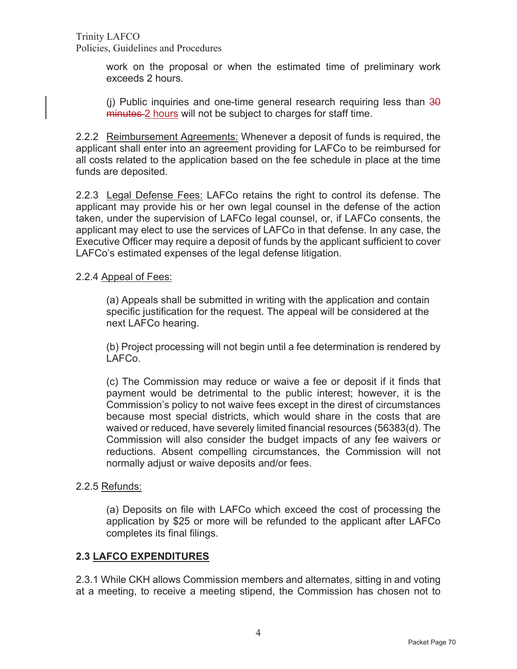> work on the proposal or when the estimated time of preliminary work exceeds 2 hours.

> (i) Public inquiries and one-time general research requiring less than  $30$ minutes 2 hours will not be subject to charges for staff time.

2.2.2 Reimbursement Agreements: Whenever a deposit of funds is required, the applicant shall enter into an agreement providing for LAFCo to be reimbursed for all costs related to the application based on the fee schedule in place at the time funds are deposited.

2.2.3 Legal Defense Fees: LAFCo retains the right to control its defense. The applicant may provide his or her own legal counsel in the defense of the action taken, under the supervision of LAFCo legal counsel, or, if LAFCo consents, the applicant may elect to use the services of LAFCo in that defense. In any case, the Executive Officer may require a deposit of funds by the applicant sufficient to cover LAFCo's estimated expenses of the legal defense litigation.

#### 2.2.4 Appeal of Fees:

(a) Appeals shall be submitted in writing with the application and contain specific justification for the request. The appeal will be considered at the next LAFCo hearing.

(b) Project processing will not begin until a fee determination is rendered by LAFCo.

(c) The Commission may reduce or waive a fee or deposit if it finds that payment would be detrimental to the public interest; however, it is the Commission's policy to not waive fees except in the direst of circumstances because most special districts, which would share in the costs that are waived or reduced, have severely limited financial resources (56383(d). The Commission will also consider the budget impacts of any fee waivers or reductions. Absent compelling circumstances, the Commission will not normally adjust or waive deposits and/or fees.

#### 2.2.5 Refunds:

(a) Deposits on file with LAFCo which exceed the cost of processing the application by \$25 or more will be refunded to the applicant after LAFCo completes its final filings.

#### **2.3 LAFCO EXPENDITURES**

2.3.1 While CKH allows Commission members and alternates, sitting in and voting at a meeting, to receive a meeting stipend, the Commission has chosen not to